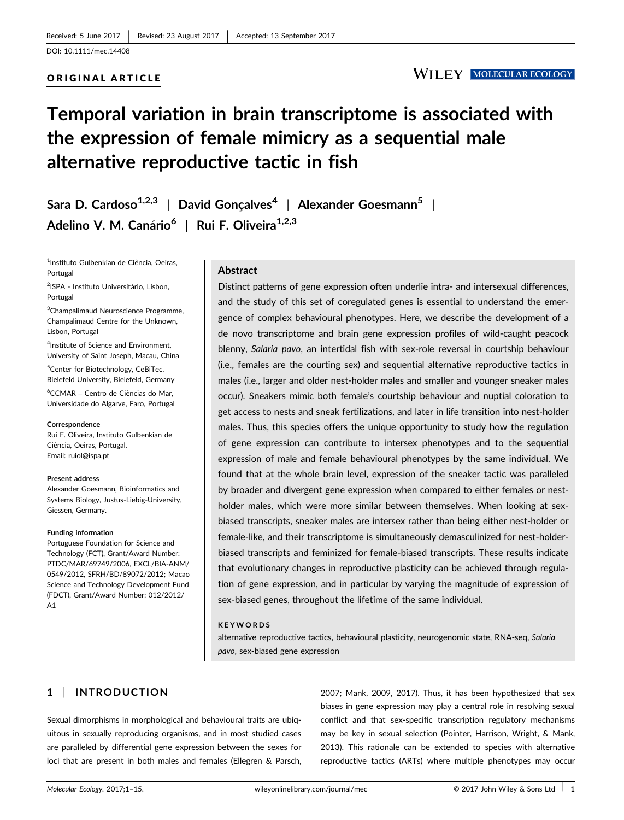## ORIGINAL ARTICLE

# **WILEY MOLECULAR ECOLOGY**

# Temporal variation in brain transcriptome is associated with the expression of female mimicry as a sequential male alternative reproductive tactic in fish

Sara D. Cardoso<sup>1,2,3</sup> | David Goncalves<sup>4</sup> | Alexander Goesmann<sup>5</sup> | Adelino V. M. Canário<sup>6</sup> | Rui F. Oliveira<sup>1,2,3</sup>

1Instituto Gulbenkian de Ciência, Oeiras, Portugal

<sup>2</sup>ISPA - Instituto Universitário, Lisbon, Portugal

<sup>3</sup>Champalimaud Neuroscience Programme, Champalimaud Centre for the Unknown, Lisbon, Portugal

4 Institute of Science and Environment, University of Saint Joseph, Macau, China

<sup>5</sup>Center for Biotechnology, CeBiTec, Bielefeld University, Bielefeld, Germany

<sup>6</sup>CCMAR – Centro de Ciências do Mar, Universidade do Algarve, Faro, Portugal

#### **Correspondence**

Rui F. Oliveira, Instituto Gulbenkian de Ciencia, Oeiras, Portugal. ^ Email: ruiol@ispa.pt

#### Present address

Alexander Goesmann, Bioinformatics and Systems Biology, Justus-Liebig-University, Giessen, Germany.

#### Funding information

Portuguese Foundation for Science and Technology (FCT), Grant/Award Number: PTDC/MAR/69749/2006, EXCL/BIA-ANM/ 0549/2012, SFRH/BD/89072/2012; Macao Science and Technology Development Fund (FDCT), Grant/Award Number: 012/2012/ A1

#### Abstract

Distinct patterns of gene expression often underlie intra- and intersexual differences, and the study of this set of coregulated genes is essential to understand the emergence of complex behavioural phenotypes. Here, we describe the development of a de novo transcriptome and brain gene expression profiles of wild-caught peacock blenny, Salaria pavo, an intertidal fish with sex-role reversal in courtship behaviour (i.e., females are the courting sex) and sequential alternative reproductive tactics in males (i.e., larger and older nest-holder males and smaller and younger sneaker males occur). Sneakers mimic both female's courtship behaviour and nuptial coloration to get access to nests and sneak fertilizations, and later in life transition into nest-holder males. Thus, this species offers the unique opportunity to study how the regulation of gene expression can contribute to intersex phenotypes and to the sequential expression of male and female behavioural phenotypes by the same individual. We found that at the whole brain level, expression of the sneaker tactic was paralleled by broader and divergent gene expression when compared to either females or nestholder males, which were more similar between themselves. When looking at sexbiased transcripts, sneaker males are intersex rather than being either nest-holder or female-like, and their transcriptome is simultaneously demasculinized for nest-holderbiased transcripts and feminized for female-biased transcripts. These results indicate that evolutionary changes in reproductive plasticity can be achieved through regulation of gene expression, and in particular by varying the magnitude of expression of sex-biased genes, throughout the lifetime of the same individual.

#### KEYWORDS

alternative reproductive tactics, behavioural plasticity, neurogenomic state, RNA-seq, Salaria pavo, sex-biased gene expression

# 1 | INTRODUCTION

Sexual dimorphisms in morphological and behavioural traits are ubiquitous in sexually reproducing organisms, and in most studied cases are paralleled by differential gene expression between the sexes for loci that are present in both males and females (Ellegren & Parsch,

2007; Mank, 2009, 2017). Thus, it has been hypothesized that sex biases in gene expression may play a central role in resolving sexual conflict and that sex-specific transcription regulatory mechanisms may be key in sexual selection (Pointer, Harrison, Wright, & Mank, 2013). This rationale can be extended to species with alternative reproductive tactics (ARTs) where multiple phenotypes may occur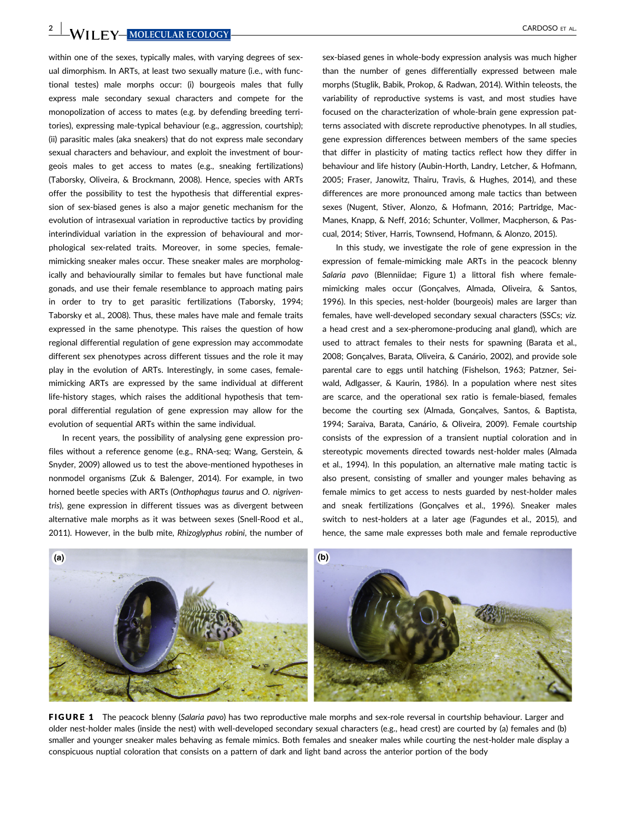**2** WILEY MOLECULAR ECOLOGY CARDOSO ET AL.

within one of the sexes, typically males, with varying degrees of sexual dimorphism. In ARTs, at least two sexually mature (i.e., with functional testes) male morphs occur: (i) bourgeois males that fully express male secondary sexual characters and compete for the monopolization of access to mates (e.g. by defending breeding territories), expressing male-typical behaviour (e.g., aggression, courtship); (ii) parasitic males (aka sneakers) that do not express male secondary sexual characters and behaviour, and exploit the investment of bourgeois males to get access to mates (e.g., sneaking fertilizations) (Taborsky, Oliveira, & Brockmann, 2008). Hence, species with ARTs offer the possibility to test the hypothesis that differential expression of sex-biased genes is also a major genetic mechanism for the evolution of intrasexual variation in reproductive tactics by providing interindividual variation in the expression of behavioural and morphological sex-related traits. Moreover, in some species, femalemimicking sneaker males occur. These sneaker males are morphologically and behaviourally similar to females but have functional male gonads, and use their female resemblance to approach mating pairs in order to try to get parasitic fertilizations (Taborsky, 1994; Taborsky et al., 2008). Thus, these males have male and female traits expressed in the same phenotype. This raises the question of how regional differential regulation of gene expression may accommodate different sex phenotypes across different tissues and the role it may play in the evolution of ARTs. Interestingly, in some cases, femalemimicking ARTs are expressed by the same individual at different life-history stages, which raises the additional hypothesis that temporal differential regulation of gene expression may allow for the evolution of sequential ARTs within the same individual.

In recent years, the possibility of analysing gene expression profiles without a reference genome (e.g., RNA-seq; Wang, Gerstein, & Snyder, 2009) allowed us to test the above-mentioned hypotheses in nonmodel organisms (Zuk & Balenger, 2014). For example, in two horned beetle species with ARTs (Onthophagus taurus and O. nigriventris), gene expression in different tissues was as divergent between alternative male morphs as it was between sexes (Snell-Rood et al., 2011). However, in the bulb mite, Rhizoglyphus robini, the number of sex-biased genes in whole-body expression analysis was much higher than the number of genes differentially expressed between male morphs (Stuglik, Babik, Prokop, & Radwan, 2014). Within teleosts, the variability of reproductive systems is vast, and most studies have focused on the characterization of whole-brain gene expression patterns associated with discrete reproductive phenotypes. In all studies, gene expression differences between members of the same species that differ in plasticity of mating tactics reflect how they differ in behaviour and life history (Aubin-Horth, Landry, Letcher, & Hofmann, 2005; Fraser, Janowitz, Thairu, Travis, & Hughes, 2014), and these differences are more pronounced among male tactics than between sexes (Nugent, Stiver, Alonzo, & Hofmann, 2016; Partridge, Mac-Manes, Knapp, & Neff, 2016; Schunter, Vollmer, Macpherson, & Pascual, 2014; Stiver, Harris, Townsend, Hofmann, & Alonzo, 2015).

In this study, we investigate the role of gene expression in the expression of female-mimicking male ARTs in the peacock blenny Salaria pavo (Blenniidae; Figure 1) a littoral fish where femalemimicking males occur (Gonçalves, Almada, Oliveira, & Santos, 1996). In this species, nest-holder (bourgeois) males are larger than females, have well-developed secondary sexual characters (SSCs; viz. a head crest and a sex-pheromone-producing anal gland), which are used to attract females to their nests for spawning (Barata et al., 2008; Gonçalves, Barata, Oliveira, & Canário, 2002), and provide sole parental care to eggs until hatching (Fishelson, 1963; Patzner, Seiwald, Adlgasser, & Kaurin, 1986). In a population where nest sites are scarce, and the operational sex ratio is female-biased, females become the courting sex (Almada, Goncalves, Santos, & Baptista, 1994; Saraiva, Barata, Canário, & Oliveira, 2009). Female courtship consists of the expression of a transient nuptial coloration and in stereotypic movements directed towards nest-holder males (Almada et al., 1994). In this population, an alternative male mating tactic is also present, consisting of smaller and younger males behaving as female mimics to get access to nests guarded by nest-holder males and sneak fertilizations (Goncalves et al., 1996). Sneaker males switch to nest-holders at a later age (Fagundes et al., 2015), and hence, the same male expresses both male and female reproductive



FIGURE 1 The peacock blenny (Salaria pavo) has two reproductive male morphs and sex-role reversal in courtship behaviour. Larger and older nest-holder males (inside the nest) with well-developed secondary sexual characters (e.g., head crest) are courted by (a) females and (b) smaller and younger sneaker males behaving as female mimics. Both females and sneaker males while courting the nest-holder male display a conspicuous nuptial coloration that consists on a pattern of dark and light band across the anterior portion of the body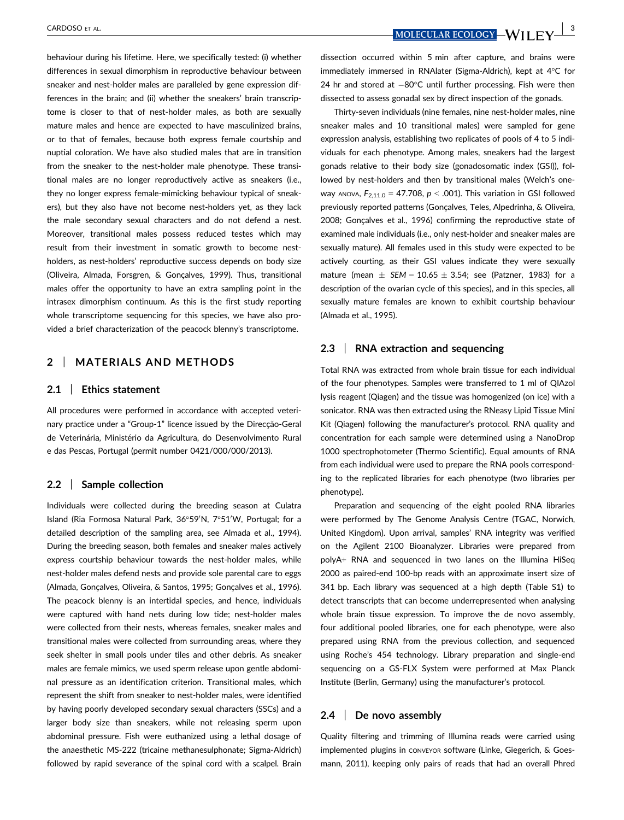behaviour during his lifetime. Here, we specifically tested: (i) whether differences in sexual dimorphism in reproductive behaviour between sneaker and nest-holder males are paralleled by gene expression differences in the brain; and (ii) whether the sneakers' brain transcriptome is closer to that of nest-holder males, as both are sexually mature males and hence are expected to have masculinized brains, or to that of females, because both express female courtship and nuptial coloration. We have also studied males that are in transition from the sneaker to the nest-holder male phenotype. These transitional males are no longer reproductively active as sneakers (i.e., they no longer express female-mimicking behaviour typical of sneakers), but they also have not become nest-holders yet, as they lack the male secondary sexual characters and do not defend a nest. Moreover, transitional males possess reduced testes which may result from their investment in somatic growth to become nestholders, as nest-holders' reproductive success depends on body size (Oliveira, Almada, Forsgren, & Goncalves, 1999). Thus, transitional males offer the opportunity to have an extra sampling point in the intrasex dimorphism continuum. As this is the first study reporting whole transcriptome sequencing for this species, we have also provided a brief characterization of the peacock blenny's transcriptome.

## 2 | MATERIALS AND METHODS

## 2.1 | Ethics statement

All procedures were performed in accordance with accepted veterinary practice under a "Group-1" licence issued by the Direcção-Geral de Veterinária, Ministério da Agricultura, do Desenvolvimento Rural e das Pescas, Portugal (permit number 0421/000/000/2013).

## 2.2 | Sample collection

Individuals were collected during the breeding season at Culatra Island (Ria Formosa Natural Park, 36°59'N, 7°51'W, Portugal; for a detailed description of the sampling area, see Almada et al., 1994). During the breeding season, both females and sneaker males actively express courtship behaviour towards the nest-holder males, while nest-holder males defend nests and provide sole parental care to eggs (Almada, Goncalves, Oliveira, & Santos, 1995; Goncalves et al., 1996). The peacock blenny is an intertidal species, and hence, individuals were captured with hand nets during low tide; nest-holder males were collected from their nests, whereas females, sneaker males and transitional males were collected from surrounding areas, where they seek shelter in small pools under tiles and other debris. As sneaker males are female mimics, we used sperm release upon gentle abdominal pressure as an identification criterion. Transitional males, which represent the shift from sneaker to nest-holder males, were identified by having poorly developed secondary sexual characters (SSCs) and a larger body size than sneakers, while not releasing sperm upon abdominal pressure. Fish were euthanized using a lethal dosage of the anaesthetic MS-222 (tricaine methanesulphonate; Sigma-Aldrich) followed by rapid severance of the spinal cord with a scalpel. Brain

CARDOSO ET AL.  $\overline{S}$  MOLECULAR ECOLOGY  $-WII$  FY  $\frac{3}{3}$ 

dissection occurred within 5 min after capture, and brains were immediately immersed in RNAlater (Sigma-Aldrich), kept at 4°C for 24 hr and stored at  $-80^{\circ}$ C until further processing. Fish were then dissected to assess gonadal sex by direct inspection of the gonads.

Thirty-seven individuals (nine females, nine nest-holder males, nine sneaker males and 10 transitional males) were sampled for gene expression analysis, establishing two replicates of pools of 4 to 5 individuals for each phenotype. Among males, sneakers had the largest gonads relative to their body size (gonadosomatic index (GSI)), followed by nest-holders and then by transitional males (Welch's oneway ANOVA,  $F_{2,11,0}$  = 47.708,  $p < .001$ ). This variation in GSI followed previously reported patterns (Gonçalves, Teles, Alpedrinha, & Oliveira, 2008; Gonçalves et al., 1996) confirming the reproductive state of examined male individuals (i.e., only nest-holder and sneaker males are sexually mature). All females used in this study were expected to be actively courting, as their GSI values indicate they were sexually mature (mean  $\pm$  SEM = 10.65  $\pm$  3.54; see (Patzner, 1983) for a description of the ovarian cycle of this species), and in this species, all sexually mature females are known to exhibit courtship behaviour (Almada et al., 1995).

## 2.3 | RNA extraction and sequencing

Total RNA was extracted from whole brain tissue for each individual of the four phenotypes. Samples were transferred to 1 ml of QIAzol lysis reagent (Qiagen) and the tissue was homogenized (on ice) with a sonicator. RNA was then extracted using the RNeasy Lipid Tissue Mini Kit (Qiagen) following the manufacturer's protocol. RNA quality and concentration for each sample were determined using a NanoDrop 1000 spectrophotometer (Thermo Scientific). Equal amounts of RNA from each individual were used to prepare the RNA pools corresponding to the replicated libraries for each phenotype (two libraries per phenotype).

Preparation and sequencing of the eight pooled RNA libraries were performed by The Genome Analysis Centre (TGAC, Norwich, United Kingdom). Upon arrival, samples' RNA integrity was verified on the Agilent 2100 Bioanalyzer. Libraries were prepared from polyA+ RNA and sequenced in two lanes on the Illumina HiSeq 2000 as paired-end 100-bp reads with an approximate insert size of 341 bp. Each library was sequenced at a high depth (Table S1) to detect transcripts that can become underrepresented when analysing whole brain tissue expression. To improve the de novo assembly, four additional pooled libraries, one for each phenotype, were also prepared using RNA from the previous collection, and sequenced using Roche's 454 technology. Library preparation and single-end sequencing on a GS-FLX System were performed at Max Planck Institute (Berlin, Germany) using the manufacturer's protocol.

#### 2.4 | De novo assembly

Quality filtering and trimming of Illumina reads were carried using implemented plugins in CONVEYOR software (Linke, Giegerich, & Goesmann, 2011), keeping only pairs of reads that had an overall Phred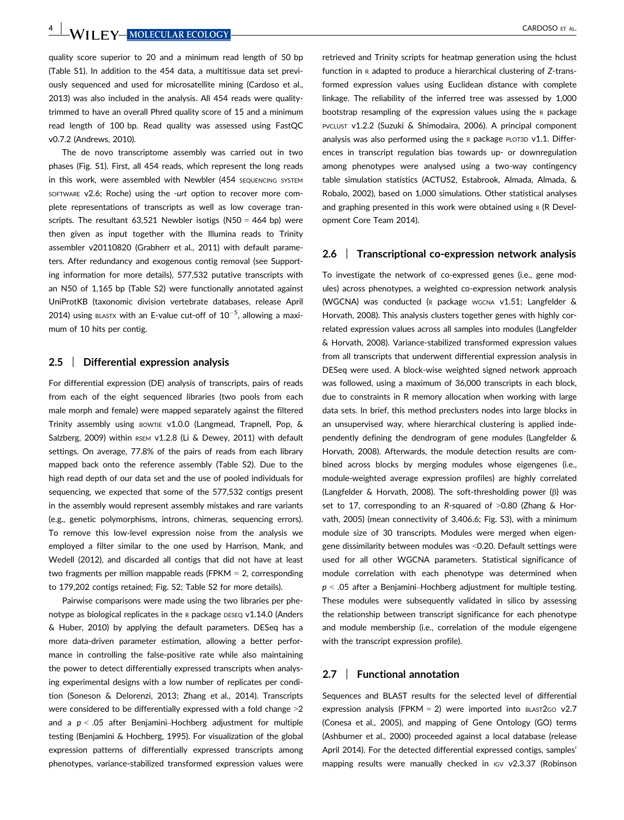4 | CARDOSO ET AL.

quality score superior to 20 and a minimum read length of 50 bp (Table S1). In addition to the 454 data, a multitissue data set previously sequenced and used for microsatellite mining (Cardoso et al., 2013) was also included in the analysis. All 454 reads were qualitytrimmed to have an overall Phred quality score of 15 and a minimum read length of 100 bp. Read quality was assessed using FastQC v0.7.2 (Andrews, 2010).

The de novo transcriptome assembly was carried out in two phases (Fig. S1). First, all 454 reads, which represent the long reads in this work, were assembled with Newbler (454 SEQUENCING SYSTEM SOFTWARE v2.6; Roche) using the -urt option to recover more complete representations of transcripts as well as low coverage transcripts. The resultant 63,521 Newbler isotigs (N50 = 464 bp) were then given as input together with the Illumina reads to Trinity assembler v20110820 (Grabherr et al., 2011) with default parameters. After redundancy and exogenous contig removal (see Supporting information for more details), 577,532 putative transcripts with an N50 of 1,165 bp (Table S2) were functionally annotated against UniProtKB (taxonomic division vertebrate databases, release April 2014) using BLASTX with an E-value cut-off of  $10^{-5}$ , allowing a maximum of 10 hits per contig.

## 2.5 | Differential expression analysis

For differential expression (DE) analysis of transcripts, pairs of reads from each of the eight sequenced libraries (two pools from each male morph and female) were mapped separately against the filtered Trinity assembly using BOWTIE v1.0.0 (Langmead, Trapnell, Pop, & Salzberg, 2009) within RSEM v1.2.8 (Li & Dewey, 2011) with default settings. On average, 77.8% of the pairs of reads from each library mapped back onto the reference assembly (Table S2). Due to the high read depth of our data set and the use of pooled individuals for sequencing, we expected that some of the 577,532 contigs present in the assembly would represent assembly mistakes and rare variants (e.g., genetic polymorphisms, introns, chimeras, sequencing errors). To remove this low-level expression noise from the analysis we employed a filter similar to the one used by Harrison, Mank, and Wedell (2012), and discarded all contigs that did not have at least two fragments per million mappable reads (FPKM  $=$  2, corresponding to 179,202 contigs retained; Fig. S2; Table S2 for more details).

Pairwise comparisons were made using the two libraries per phenotype as biological replicates in the R package DESEQ v1.14.0 (Anders & Huber, 2010) by applying the default parameters. DESeq has a more data-driven parameter estimation, allowing a better performance in controlling the false-positive rate while also maintaining the power to detect differentially expressed transcripts when analysing experimental designs with a low number of replicates per condition (Soneson & Delorenzi, 2013; Zhang et al., 2014). Transcripts were considered to be differentially expressed with a fold change >2 and a  $p < .05$  after Benjamini–Hochberg adjustment for multiple testing (Benjamini & Hochberg, 1995). For visualization of the global expression patterns of differentially expressed transcripts among phenotypes, variance-stabilized transformed expression values were retrieved and Trinity scripts for heatmap generation using the hclust function in <sup>R</sup> adapted to produce a hierarchical clustering of Z-transformed expression values using Euclidean distance with complete linkage. The reliability of the inferred tree was assessed by 1,000 bootstrap resampling of the expression values using the <sup>R</sup> package PVCLUST V1.2.2 (Suzuki & Shimodaira, 2006). A principal component analysis was also performed using the  $R$  package PLOT3D v1.1. Differences in transcript regulation bias towards up- or downregulation among phenotypes were analysed using a two-way contingency table simulation statistics (ACTUS2, Estabrook, Almada, Almada, & Robalo, 2002), based on 1,000 simulations. Other statistical analyses and graphing presented in this work were obtained using R (R Development Core Team 2014).

#### 2.6 | Transcriptional co-expression network analysis

To investigate the network of co-expressed genes (i.e., gene modules) across phenotypes, a weighted co-expression network analysis (WGCNA) was conducted (R package WGCNA v1.51; Langfelder & Horvath, 2008). This analysis clusters together genes with highly correlated expression values across all samples into modules (Langfelder & Horvath, 2008). Variance-stabilized transformed expression values from all transcripts that underwent differential expression analysis in DESeq were used. A block-wise weighted signed network approach was followed, using a maximum of 36,000 transcripts in each block, due to constraints in R memory allocation when working with large data sets. In brief, this method preclusters nodes into large blocks in an unsupervised way, where hierarchical clustering is applied independently defining the dendrogram of gene modules (Langfelder & Horvath, 2008). Afterwards, the module detection results are combined across blocks by merging modules whose eigengenes (i.e., module-weighted average expression profiles) are highly correlated (Langfelder & Horvath, 2008). The soft-thresholding power  $(\beta)$  was set to 17, corresponding to an R-squared of >0.80 (Zhang & Horvath, 2005) (mean connectivity of 3,406.6; Fig. S3), with a minimum module size of 30 transcripts. Modules were merged when eigengene dissimilarity between modules was <0.20. Default settings were used for all other WGCNA parameters. Statistical significance of module correlation with each phenotype was determined when  $p < .05$  after a Benjamini–Hochberg adjustment for multiple testing. These modules were subsequently validated in silico by assessing the relationship between transcript significance for each phenotype and module membership (i.e., correlation of the module eigengene with the transcript expression profile).

## 2.7 | Functional annotation

Sequences and BLAST results for the selected level of differential expression analysis (FPKM = 2) were imported into  $BLAST2$ GO v2.7 (Conesa et al., 2005), and mapping of Gene Ontology (GO) terms (Ashburner et al., 2000) proceeded against a local database (release April 2014). For the detected differential expressed contigs, samples' mapping results were manually checked in IGV v2.3.37 (Robinson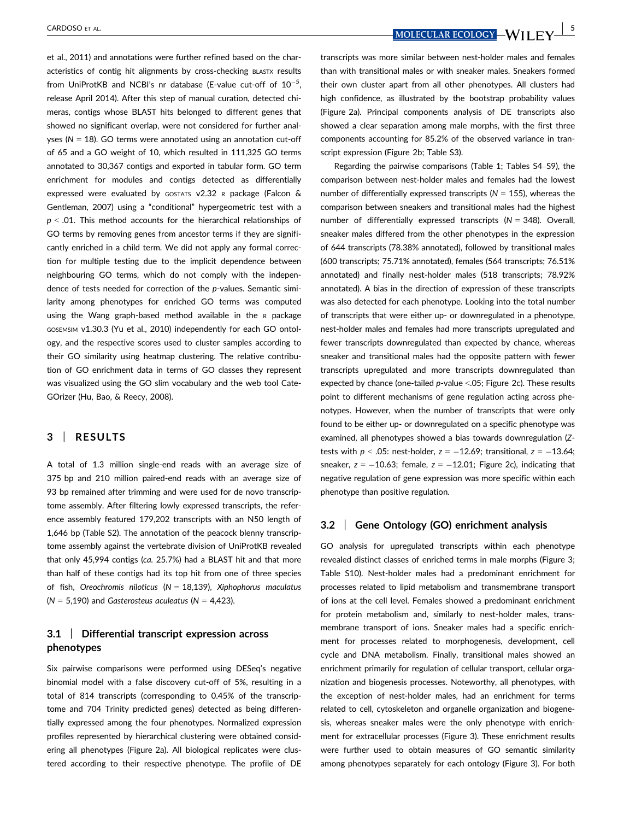et al., 2011) and annotations were further refined based on the characteristics of contig hit alignments by cross-checking BLASTX results from UniProtKB and NCBI's nr database (E-value cut-off of  $10^{-5}$ , release April 2014). After this step of manual curation, detected chimeras, contigs whose BLAST hits belonged to different genes that showed no significant overlap, were not considered for further analyses ( $N = 18$ ). GO terms were annotated using an annotation cut-off of 65 and a GO weight of 10, which resulted in 111,325 GO terms annotated to 30,367 contigs and exported in tabular form. GO term enrichment for modules and contigs detected as differentially expressed were evaluated by GOSTATS v2.32 R package (Falcon & Gentleman, 2007) using a "conditional" hypergeometric test with a  $p < .01$ . This method accounts for the hierarchical relationships of GO terms by removing genes from ancestor terms if they are significantly enriched in a child term. We did not apply any formal correction for multiple testing due to the implicit dependence between neighbouring GO terms, which do not comply with the independence of tests needed for correction of the p-values. Semantic similarity among phenotypes for enriched GO terms was computed using the Wang graph-based method available in the R package GOSEMSIM v1.30.3 (Yu et al., 2010) independently for each GO ontology, and the respective scores used to cluster samples according to their GO similarity using heatmap clustering. The relative contribution of GO enrichment data in terms of GO classes they represent was visualized using the GO slim vocabulary and the web tool Cate-GOrizer (Hu, Bao, & Reecy, 2008).

# 3 | RESULTS

A total of 1.3 million single-end reads with an average size of 375 bp and 210 million paired-end reads with an average size of 93 bp remained after trimming and were used for de novo transcriptome assembly. After filtering lowly expressed transcripts, the reference assembly featured 179,202 transcripts with an N50 length of 1,646 bp (Table S2). The annotation of the peacock blenny transcriptome assembly against the vertebrate division of UniProtKB revealed that only 45,994 contigs (ca. 25.7%) had a BLAST hit and that more than half of these contigs had its top hit from one of three species of fish, Oreochromis niloticus ( $N = 18,139$ ), Xiphophorus maculatus  $(N = 5,190)$  and Gasterosteus aculeatus  $(N = 4,423)$ .

# 3.1 | Differential transcript expression across phenotypes

Six pairwise comparisons were performed using DESeq's negative binomial model with a false discovery cut-off of 5%, resulting in a total of 814 transcripts (corresponding to 0.45% of the transcriptome and 704 Trinity predicted genes) detected as being differentially expressed among the four phenotypes. Normalized expression profiles represented by hierarchical clustering were obtained considering all phenotypes (Figure 2a). All biological replicates were clustered according to their respective phenotype. The profile of DE

CARDOSO ET AL. **SARDOSO ET AL. SARDOSO ET AL. SARDOSO ET AL. SARDOSO ET AL. SARDOSO ET AL. SARDOSO ET AL. SARDOSO ET AL. SARDOSO ET AL. SARDOSO ET AL. SARDOSO ET AL. SARDOSO ET AL. SARDOSO ET AL. SA** 

transcripts was more similar between nest-holder males and females

than with transitional males or with sneaker males. Sneakers formed their own cluster apart from all other phenotypes. All clusters had high confidence, as illustrated by the bootstrap probability values (Figure 2a). Principal components analysis of DE transcripts also showed a clear separation among male morphs, with the first three components accounting for 85.2% of the observed variance in transcript expression (Figure 2b; Table S3).

Regarding the pairwise comparisons (Table 1; Tables S4–S9), the comparison between nest-holder males and females had the lowest number of differentially expressed transcripts ( $N = 155$ ), whereas the comparison between sneakers and transitional males had the highest number of differentially expressed transcripts ( $N = 348$ ). Overall, sneaker males differed from the other phenotypes in the expression of 644 transcripts (78.38% annotated), followed by transitional males (600 transcripts; 75.71% annotated), females (564 transcripts; 76.51% annotated) and finally nest-holder males (518 transcripts; 78.92% annotated). A bias in the direction of expression of these transcripts was also detected for each phenotype. Looking into the total number of transcripts that were either up- or downregulated in a phenotype, nest-holder males and females had more transcripts upregulated and fewer transcripts downregulated than expected by chance, whereas sneaker and transitional males had the opposite pattern with fewer transcripts upregulated and more transcripts downregulated than expected by chance (one-tailed p-value <.05; Figure 2c). These results point to different mechanisms of gene regulation acting across phenotypes. However, when the number of transcripts that were only found to be either up- or downregulated on a specific phenotype was examined, all phenotypes showed a bias towards downregulation (Ztests with  $p < .05$ : nest-holder,  $z = -12.69$ ; transitional,  $z = -13.64$ ; sneaker,  $z = -10.63$ ; female,  $z = -12.01$ ; Figure 2c), indicating that negative regulation of gene expression was more specific within each phenotype than positive regulation.

## 3.2 | Gene Ontology (GO) enrichment analysis

GO analysis for upregulated transcripts within each phenotype revealed distinct classes of enriched terms in male morphs (Figure 3; Table S10). Nest-holder males had a predominant enrichment for processes related to lipid metabolism and transmembrane transport of ions at the cell level. Females showed a predominant enrichment for protein metabolism and, similarly to nest-holder males, transmembrane transport of ions. Sneaker males had a specific enrichment for processes related to morphogenesis, development, cell cycle and DNA metabolism. Finally, transitional males showed an enrichment primarily for regulation of cellular transport, cellular organization and biogenesis processes. Noteworthy, all phenotypes, with the exception of nest-holder males, had an enrichment for terms related to cell, cytoskeleton and organelle organization and biogenesis, whereas sneaker males were the only phenotype with enrichment for extracellular processes (Figure 3). These enrichment results were further used to obtain measures of GO semantic similarity among phenotypes separately for each ontology (Figure 3). For both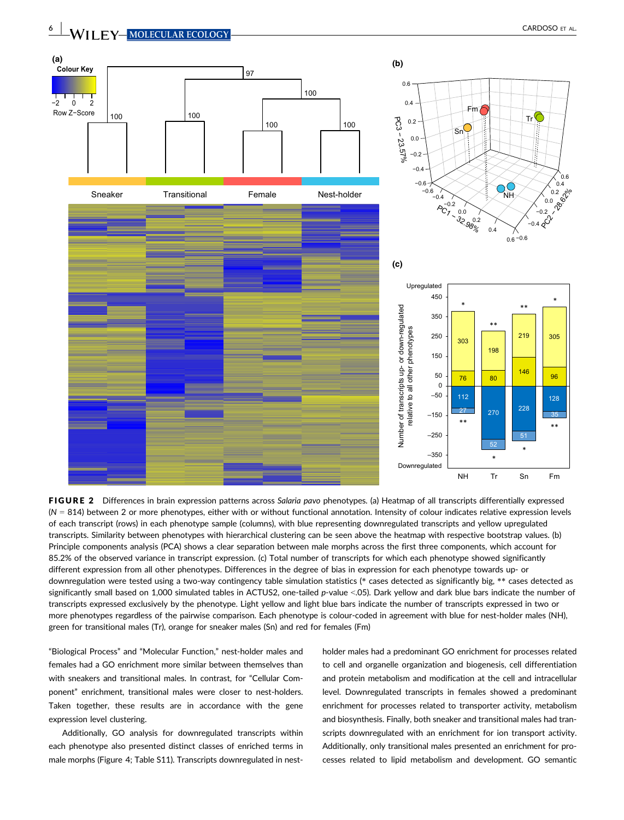

FIGURE 2 Differences in brain expression patterns across Salaria pavo phenotypes. (a) Heatmap of all transcripts differentially expressed  $(N = 814)$  between 2 or more phenotypes, either with or without functional annotation. Intensity of colour indicates relative expression levels of each transcript (rows) in each phenotype sample (columns), with blue representing downregulated transcripts and yellow upregulated transcripts. Similarity between phenotypes with hierarchical clustering can be seen above the heatmap with respective bootstrap values. (b) Principle components analysis (PCA) shows a clear separation between male morphs across the first three components, which account for 85.2% of the observed variance in transcript expression. (c) Total number of transcripts for which each phenotype showed significantly different expression from all other phenotypes. Differences in the degree of bias in expression for each phenotype towards up- or downregulation were tested using a two-way contingency table simulation statistics (\* cases detected as significantly big, \*\* cases detected as significantly small based on 1,000 simulated tables in ACTUS2, one-tailed p-value <.05). Dark yellow and dark blue bars indicate the number of transcripts expressed exclusively by the phenotype. Light yellow and light blue bars indicate the number of transcripts expressed in two or more phenotypes regardless of the pairwise comparison. Each phenotype is colour-coded in agreement with blue for nest-holder males (NH), green for transitional males (Tr), orange for sneaker males (Sn) and red for females (Fm)

"Biological Process" and "Molecular Function," nest-holder males and females had a GO enrichment more similar between themselves than with sneakers and transitional males. In contrast, for "Cellular Component" enrichment, transitional males were closer to nest-holders. Taken together, these results are in accordance with the gene expression level clustering.

Additionally, GO analysis for downregulated transcripts within each phenotype also presented distinct classes of enriched terms in male morphs (Figure 4; Table S11). Transcripts downregulated in nestholder males had a predominant GO enrichment for processes related to cell and organelle organization and biogenesis, cell differentiation and protein metabolism and modification at the cell and intracellular level. Downregulated transcripts in females showed a predominant enrichment for processes related to transporter activity, metabolism and biosynthesis. Finally, both sneaker and transitional males had transcripts downregulated with an enrichment for ion transport activity. Additionally, only transitional males presented an enrichment for processes related to lipid metabolism and development. GO semantic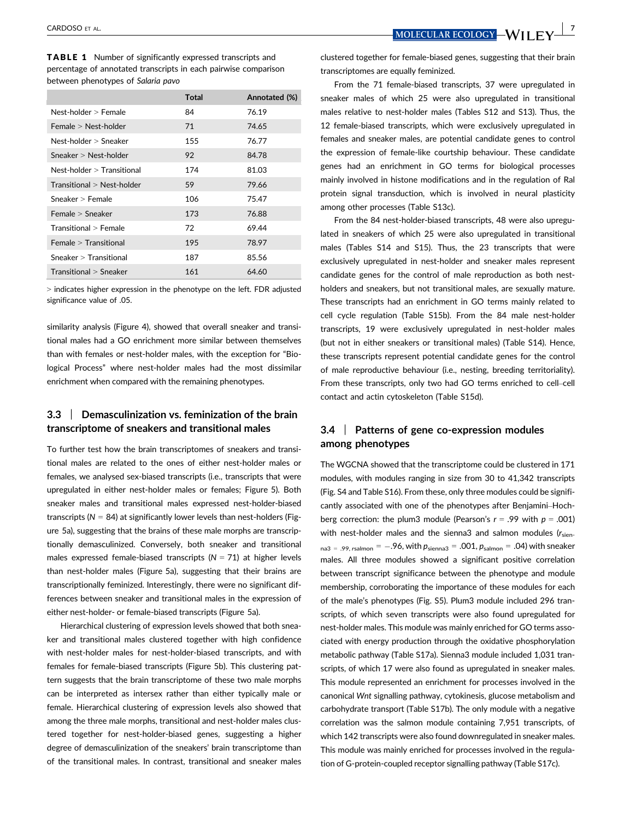TABLE 1 Number of significantly expressed transcripts and percentage of annotated transcripts in each pairwise comparison between phenotypes of Salaria pavo

|                            | <b>Total</b> | Annotated (%) |
|----------------------------|--------------|---------------|
| Nest-holder $>$ Female     | 84           | 76.19         |
| $Female > Nest-holder$     | 71           | 74.65         |
| Nest-holder $>$ Sneaker    | 155          | 76.77         |
| Sneaker $>$ Nest-holder    | 92           | 84.78         |
| Nest-holder > Transitional | 174          | 81.03         |
| Transitional > Nest-holder | 59           | 79.66         |
| Sneaker $>$ Female         | 106          | 75.47         |
| Female > Sheaker           | 173          | 76.88         |
| Transitional > Female      | 72           | 69.44         |
| Female > Transitional      | 195          | 78.97         |
| Sneaker $>$ Transitional   | 187          | 85.56         |
| Transitional > Sheaker     | 161          | 64.60         |

> indicates higher expression in the phenotype on the left. FDR adjusted significance value of .05.

similarity analysis (Figure 4), showed that overall sneaker and transitional males had a GO enrichment more similar between themselves than with females or nest-holder males, with the exception for "Biological Process" where nest-holder males had the most dissimilar enrichment when compared with the remaining phenotypes.

# 3.3 | Demasculinization vs. feminization of the brain transcriptome of sneakers and transitional males

To further test how the brain transcriptomes of sneakers and transitional males are related to the ones of either nest-holder males or females, we analysed sex-biased transcripts (i.e., transcripts that were upregulated in either nest-holder males or females; Figure 5). Both sneaker males and transitional males expressed nest-holder-biased transcripts ( $N = 84$ ) at significantly lower levels than nest-holders (Figure 5a), suggesting that the brains of these male morphs are transcriptionally demasculinized. Conversely, both sneaker and transitional males expressed female-biased transcripts ( $N = 71$ ) at higher levels than nest-holder males (Figure 5a), suggesting that their brains are transcriptionally feminized. Interestingly, there were no significant differences between sneaker and transitional males in the expression of either nest-holder- or female-biased transcripts (Figure 5a).

Hierarchical clustering of expression levels showed that both sneaker and transitional males clustered together with high confidence with nest-holder males for nest-holder-biased transcripts, and with females for female-biased transcripts (Figure 5b). This clustering pattern suggests that the brain transcriptome of these two male morphs can be interpreted as intersex rather than either typically male or female. Hierarchical clustering of expression levels also showed that among the three male morphs, transitional and nest-holder males clustered together for nest-holder-biased genes, suggesting a higher degree of demasculinization of the sneakers' brain transcriptome than of the transitional males. In contrast, transitional and sneaker males

 $\frac{\text{CARDOSO ET AL.}}{\text{MOLECULAR ECOLOGY}}$   $\frac{1}{\frac{7}{2}}$ 

clustered together for female-biased genes, suggesting that their brain transcriptomes are equally feminized.

From the 71 female-biased transcripts, 37 were upregulated in sneaker males of which 25 were also upregulated in transitional males relative to nest-holder males (Tables S12 and S13). Thus, the 12 female-biased transcripts, which were exclusively upregulated in females and sneaker males, are potential candidate genes to control the expression of female-like courtship behaviour. These candidate genes had an enrichment in GO terms for biological processes mainly involved in histone modifications and in the regulation of Ral protein signal transduction, which is involved in neural plasticity among other processes (Table S13c).

From the 84 nest-holder-biased transcripts, 48 were also upregulated in sneakers of which 25 were also upregulated in transitional males (Tables S14 and S15). Thus, the 23 transcripts that were exclusively upregulated in nest-holder and sneaker males represent candidate genes for the control of male reproduction as both nestholders and sneakers, but not transitional males, are sexually mature. These transcripts had an enrichment in GO terms mainly related to cell cycle regulation (Table S15b). From the 84 male nest-holder transcripts, 19 were exclusively upregulated in nest-holder males (but not in either sneakers or transitional males) (Table S14). Hence, these transcripts represent potential candidate genes for the control of male reproductive behaviour (i.e., nesting, breeding territoriality). From these transcripts, only two had GO terms enriched to cell–cell contact and actin cytoskeleton (Table S15d).

# 3.4 | Patterns of gene co-expression modules among phenotypes

The WGCNA showed that the transcriptome could be clustered in 171 modules, with modules ranging in size from 30 to 41,342 transcripts (Fig. S4 and Table S16). From these, only three modules could be significantly associated with one of the phenotypes after Benjamini–Hochberg correction: the plum3 module (Pearson's  $r = .99$  with  $p = .001$ ) with nest-holder males and the sienna3 and salmon modules  $(r_{\text{sign}})$ na3 = .99, rsalmon =  $-.96$ , with  $p_{\sf{sienna3}} = .001$ ,  $p_{\sf{salmon}} = .04$ ) with sneaker males. All three modules showed a significant positive correlation between transcript significance between the phenotype and module membership, corroborating the importance of these modules for each of the male's phenotypes (Fig. S5). Plum3 module included 296 transcripts, of which seven transcripts were also found upregulated for nest-holder males. This module was mainly enriched for GO terms associated with energy production through the oxidative phosphorylation metabolic pathway (Table S17a). Sienna3 module included 1,031 transcripts, of which 17 were also found as upregulated in sneaker males. This module represented an enrichment for processes involved in the canonical Wnt signalling pathway, cytokinesis, glucose metabolism and carbohydrate transport (Table S17b). The only module with a negative correlation was the salmon module containing 7,951 transcripts, of which 142 transcripts were also found downregulated in sneaker males. This module was mainly enriched for processes involved in the regulation of G-protein-coupled receptor signalling pathway (Table S17c).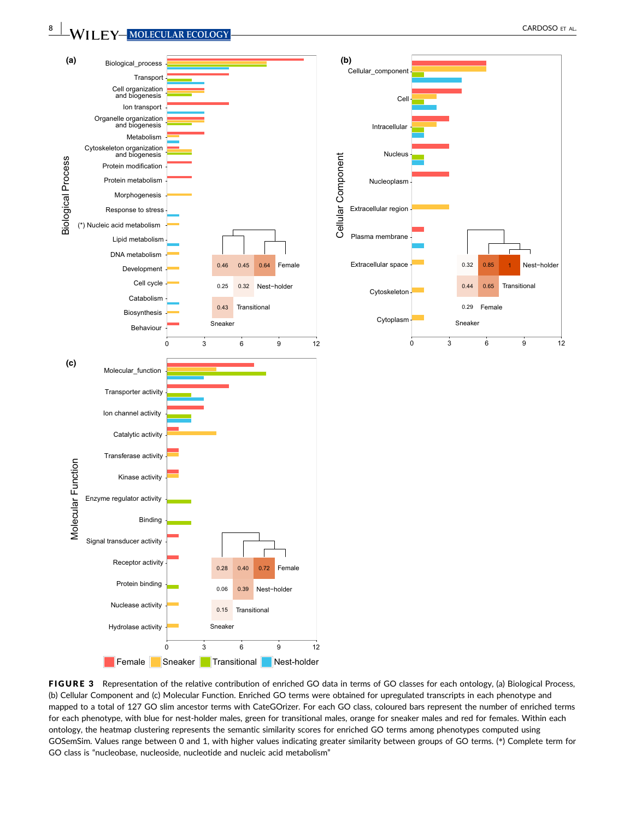



FIGURE 3 Representation of the relative contribution of enriched GO data in terms of GO classes for each ontology, (a) Biological Process, (b) Cellular Component and (c) Molecular Function. Enriched GO terms were obtained for upregulated transcripts in each phenotype and mapped to a total of 127 GO slim ancestor terms with CateGOrizer. For each GO class, coloured bars represent the number of enriched terms for each phenotype, with blue for nest-holder males, green for transitional males, orange for sneaker males and red for females. Within each ontology, the heatmap clustering represents the semantic similarity scores for enriched GO terms among phenotypes computed using GOSemSim. Values range between 0 and 1, with higher values indicating greater similarity between groups of GO terms. (\*) Complete term for GO class is "nucleobase, nucleoside, nucleotide and nucleic acid metabolism"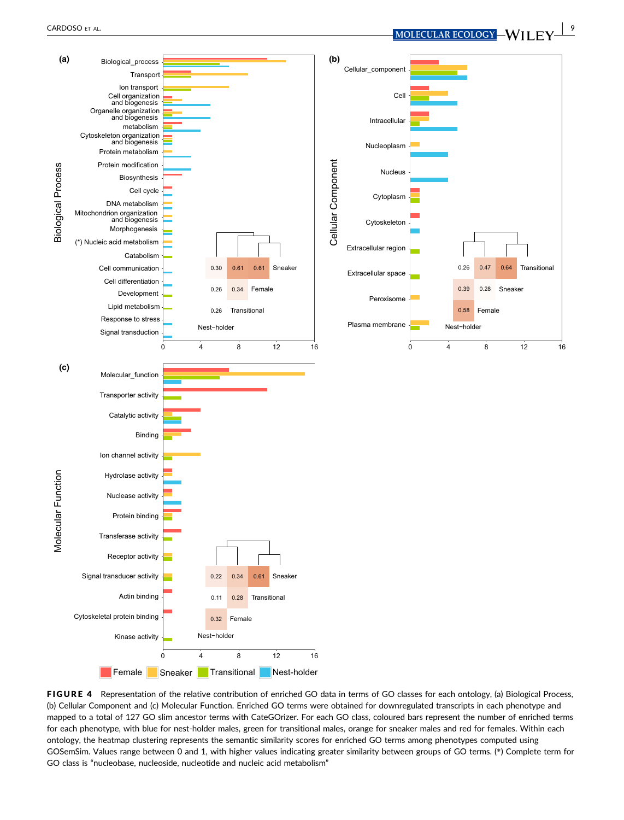

FIGURE 4 Representation of the relative contribution of enriched GO data in terms of GO classes for each ontology, (a) Biological Process, (b) Cellular Component and (c) Molecular Function. Enriched GO terms were obtained for downregulated transcripts in each phenotype and mapped to a total of 127 GO slim ancestor terms with CateGOrizer. For each GO class, coloured bars represent the number of enriched terms for each phenotype, with blue for nest-holder males, green for transitional males, orange for sneaker males and red for females. Within each ontology, the heatmap clustering represents the semantic similarity scores for enriched GO terms among phenotypes computed using GOSemSim. Values range between 0 and 1, with higher values indicating greater similarity between groups of GO terms. (\*) Complete term for GO class is "nucleobase, nucleoside, nucleotide and nucleic acid metabolism"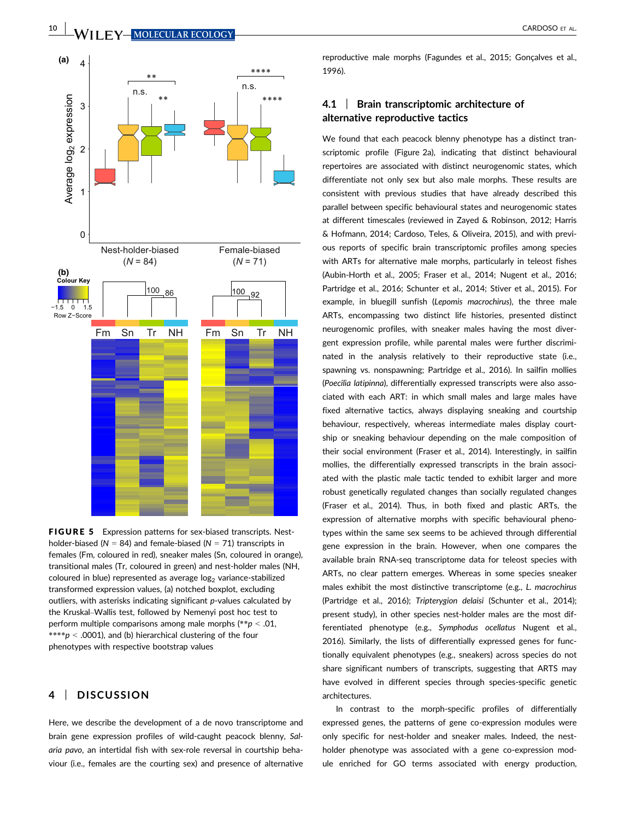

FIGURE 5 Expression patterns for sex-biased transcripts. Nestholder-biased ( $N = 84$ ) and female-biased ( $N = 71$ ) transcripts in females (Fm, coloured in red), sneaker males (Sn, coloured in orange), transitional males (Tr, coloured in green) and nest-holder males (NH, coloured in blue) represented as average  $log<sub>2</sub>$  variance-stabilized transformed expression values, (a) notched boxplot, excluding outliers, with asterisks indicating significant p-values calculated by the Kruskal–Wallis test, followed by Nemenyi post hoc test to perform multiple comparisons among male morphs ( $*p < .01$ , \*\*\*\*p  $<$  .0001), and (b) hierarchical clustering of the four phenotypes with respective bootstrap values

## 4 | DISCUSSION

Here, we describe the development of a de novo transcriptome and brain gene expression profiles of wild-caught peacock blenny, Salaria pavo, an intertidal fish with sex-role reversal in courtship behaviour (i.e., females are the courting sex) and presence of alternative reproductive male morphs (Fagundes et al., 2015; Goncalves et al., 1996).

# 4.1 | Brain transcriptomic architecture of alternative reproductive tactics

We found that each peacock blenny phenotype has a distinct transcriptomic profile (Figure 2a), indicating that distinct behavioural repertoires are associated with distinct neurogenomic states, which differentiate not only sex but also male morphs. These results are consistent with previous studies that have already described this parallel between specific behavioural states and neurogenomic states at different timescales (reviewed in Zayed & Robinson, 2012; Harris & Hofmann, 2014; Cardoso, Teles, & Oliveira, 2015), and with previous reports of specific brain transcriptomic profiles among species with ARTs for alternative male morphs, particularly in teleost fishes (Aubin-Horth et al., 2005; Fraser et al., 2014; Nugent et al., 2016; Partridge et al., 2016; Schunter et al., 2014; Stiver et al., 2015). For example, in bluegill sunfish (Lepomis macrochirus), the three male ARTs, encompassing two distinct life histories, presented distinct neurogenomic profiles, with sneaker males having the most divergent expression profile, while parental males were further discriminated in the analysis relatively to their reproductive state (i.e., spawning vs. nonspawning; Partridge et al., 2016). In sailfin mollies (Poecilia latipinna), differentially expressed transcripts were also associated with each ART: in which small males and large males have fixed alternative tactics, always displaying sneaking and courtship behaviour, respectively, whereas intermediate males display courtship or sneaking behaviour depending on the male composition of their social environment (Fraser et al., 2014). Interestingly, in sailfin mollies, the differentially expressed transcripts in the brain associated with the plastic male tactic tended to exhibit larger and more robust genetically regulated changes than socially regulated changes (Fraser et al., 2014). Thus, in both fixed and plastic ARTs, the expression of alternative morphs with specific behavioural phenotypes within the same sex seems to be achieved through differential gene expression in the brain. However, when one compares the available brain RNA-seq transcriptome data for teleost species with ARTs, no clear pattern emerges. Whereas in some species sneaker males exhibit the most distinctive transcriptome (e.g., L. macrochirus (Partridge et al., 2016); Tripterygion delaisi (Schunter et al., 2014); present study), in other species nest-holder males are the most differentiated phenotype (e.g., Symphodus ocellatus Nugent et al., 2016). Similarly, the lists of differentially expressed genes for functionally equivalent phenotypes (e.g., sneakers) across species do not share significant numbers of transcripts, suggesting that ARTS may have evolved in different species through species-specific genetic architectures.

In contrast to the morph-specific profiles of differentially expressed genes, the patterns of gene co-expression modules were only specific for nest-holder and sneaker males. Indeed, the nestholder phenotype was associated with a gene co-expression module enriched for GO terms associated with energy production,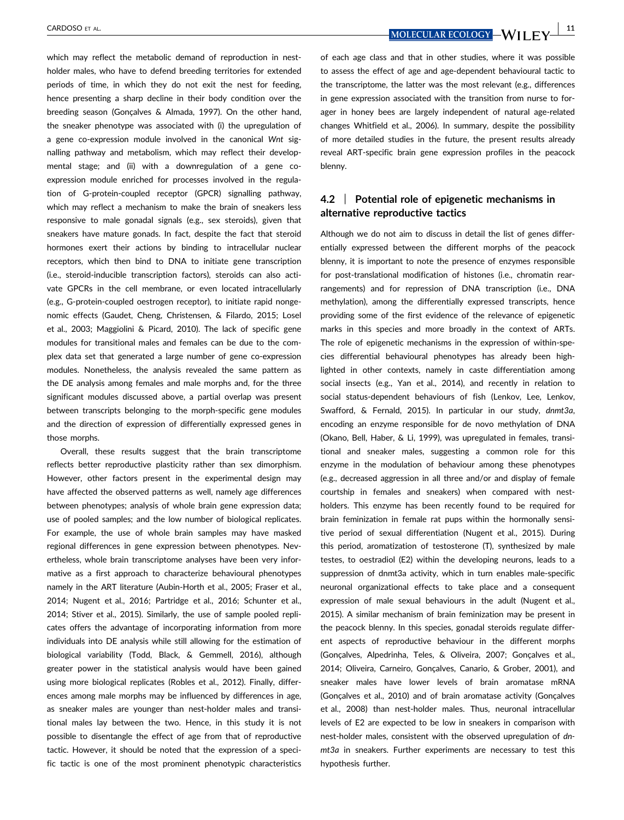which may reflect the metabolic demand of reproduction in nestholder males, who have to defend breeding territories for extended periods of time, in which they do not exit the nest for feeding, hence presenting a sharp decline in their body condition over the breeding season (Goncalves & Almada, 1997). On the other hand, the sneaker phenotype was associated with (i) the upregulation of a gene co-expression module involved in the canonical Wnt signalling pathway and metabolism, which may reflect their developmental stage; and (ii) with a downregulation of a gene coexpression module enriched for processes involved in the regulation of G-protein-coupled receptor (GPCR) signalling pathway, which may reflect a mechanism to make the brain of sneakers less responsive to male gonadal signals (e.g., sex steroids), given that sneakers have mature gonads. In fact, despite the fact that steroid hormones exert their actions by binding to intracellular nuclear receptors, which then bind to DNA to initiate gene transcription (i.e., steroid-inducible transcription factors), steroids can also activate GPCRs in the cell membrane, or even located intracellularly (e.g., G-protein-coupled oestrogen receptor), to initiate rapid nongenomic effects (Gaudet, Cheng, Christensen, & Filardo, 2015; Losel et al., 2003; Maggiolini & Picard, 2010). The lack of specific gene modules for transitional males and females can be due to the complex data set that generated a large number of gene co-expression modules. Nonetheless, the analysis revealed the same pattern as the DE analysis among females and male morphs and, for the three significant modules discussed above, a partial overlap was present between transcripts belonging to the morph-specific gene modules and the direction of expression of differentially expressed genes in those morphs.

Overall, these results suggest that the brain transcriptome reflects better reproductive plasticity rather than sex dimorphism. However, other factors present in the experimental design may have affected the observed patterns as well, namely age differences between phenotypes; analysis of whole brain gene expression data; use of pooled samples; and the low number of biological replicates. For example, the use of whole brain samples may have masked regional differences in gene expression between phenotypes. Nevertheless, whole brain transcriptome analyses have been very informative as a first approach to characterize behavioural phenotypes namely in the ART literature (Aubin-Horth et al., 2005; Fraser et al., 2014; Nugent et al., 2016; Partridge et al., 2016; Schunter et al., 2014; Stiver et al., 2015). Similarly, the use of sample pooled replicates offers the advantage of incorporating information from more individuals into DE analysis while still allowing for the estimation of biological variability (Todd, Black, & Gemmell, 2016), although greater power in the statistical analysis would have been gained using more biological replicates (Robles et al., 2012). Finally, differences among male morphs may be influenced by differences in age, as sneaker males are younger than nest-holder males and transitional males lay between the two. Hence, in this study it is not possible to disentangle the effect of age from that of reproductive tactic. However, it should be noted that the expression of a specific tactic is one of the most prominent phenotypic characteristics

CARDOSO ET AL.  $\overline{C}$  MOLECULAR ECOLOGY  $-W$  I I  $\overline{F}$   $V$   $\overline{C}$   $\overline{C}$ 

of each age class and that in other studies, where it was possible to assess the effect of age and age-dependent behavioural tactic to the transcriptome, the latter was the most relevant (e.g., differences in gene expression associated with the transition from nurse to forager in honey bees are largely independent of natural age-related changes Whitfield et al., 2006). In summary, despite the possibility of more detailed studies in the future, the present results already reveal ART-specific brain gene expression profiles in the peacock blenny.

# 4.2 | Potential role of epigenetic mechanisms in alternative reproductive tactics

Although we do not aim to discuss in detail the list of genes differentially expressed between the different morphs of the peacock blenny, it is important to note the presence of enzymes responsible for post-translational modification of histones (i.e., chromatin rearrangements) and for repression of DNA transcription (i.e., DNA methylation), among the differentially expressed transcripts, hence providing some of the first evidence of the relevance of epigenetic marks in this species and more broadly in the context of ARTs. The role of epigenetic mechanisms in the expression of within-species differential behavioural phenotypes has already been highlighted in other contexts, namely in caste differentiation among social insects (e.g., Yan et al., 2014), and recently in relation to social status-dependent behaviours of fish (Lenkov, Lee, Lenkov, Swafford, & Fernald, 2015). In particular in our study, dnmt3a, encoding an enzyme responsible for de novo methylation of DNA (Okano, Bell, Haber, & Li, 1999), was upregulated in females, transitional and sneaker males, suggesting a common role for this enzyme in the modulation of behaviour among these phenotypes (e.g., decreased aggression in all three and/or and display of female courtship in females and sneakers) when compared with nestholders. This enzyme has been recently found to be required for brain feminization in female rat pups within the hormonally sensitive period of sexual differentiation (Nugent et al., 2015). During this period, aromatization of testosterone (T), synthesized by male testes, to oestradiol (E2) within the developing neurons, leads to a suppression of dnmt3a activity, which in turn enables male-specific neuronal organizational effects to take place and a consequent expression of male sexual behaviours in the adult (Nugent et al., 2015). A similar mechanism of brain feminization may be present in the peacock blenny. In this species, gonadal steroids regulate different aspects of reproductive behaviour in the different morphs (Goncalves, Alpedrinha, Teles, & Oliveira, 2007; Goncalves et al., 2014; Oliveira, Carneiro, Goncalves, Canario, & Grober, 2001), and sneaker males have lower levels of brain aromatase mRNA (Goncalves et al., 2010) and of brain aromatase activity (Goncalves et al., 2008) than nest-holder males. Thus, neuronal intracellular levels of E2 are expected to be low in sneakers in comparison with nest-holder males, consistent with the observed upregulation of dnmt3a in sneakers. Further experiments are necessary to test this hypothesis further.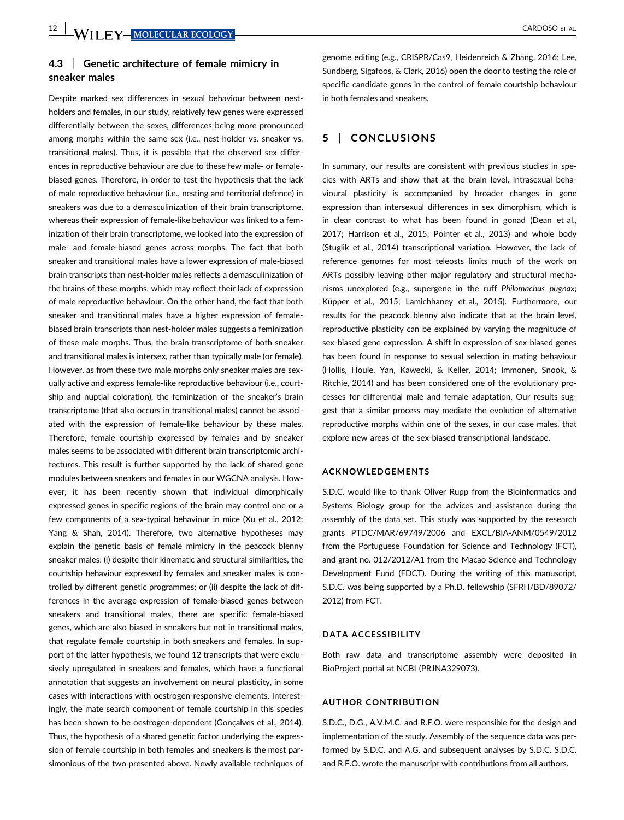12 WII FY MOLECULAR ECOLOGY CARDOSO ET AL.

# 4.3 | Genetic architecture of female mimicry in sneaker males

Despite marked sex differences in sexual behaviour between nestholders and females, in our study, relatively few genes were expressed differentially between the sexes, differences being more pronounced among morphs within the same sex (i.e., nest-holder vs. sneaker vs. transitional males). Thus, it is possible that the observed sex differences in reproductive behaviour are due to these few male- or femalebiased genes. Therefore, in order to test the hypothesis that the lack of male reproductive behaviour (i.e., nesting and territorial defence) in sneakers was due to a demasculinization of their brain transcriptome, whereas their expression of female-like behaviour was linked to a feminization of their brain transcriptome, we looked into the expression of male- and female-biased genes across morphs. The fact that both sneaker and transitional males have a lower expression of male-biased brain transcripts than nest-holder males reflects a demasculinization of the brains of these morphs, which may reflect their lack of expression of male reproductive behaviour. On the other hand, the fact that both sneaker and transitional males have a higher expression of femalebiased brain transcripts than nest-holder males suggests a feminization of these male morphs. Thus, the brain transcriptome of both sneaker and transitional males is intersex, rather than typically male (or female). However, as from these two male morphs only sneaker males are sexually active and express female-like reproductive behaviour (i.e., courtship and nuptial coloration), the feminization of the sneaker's brain transcriptome (that also occurs in transitional males) cannot be associated with the expression of female-like behaviour by these males. Therefore, female courtship expressed by females and by sneaker males seems to be associated with different brain transcriptomic architectures. This result is further supported by the lack of shared gene modules between sneakers and females in our WGCNA analysis. However, it has been recently shown that individual dimorphically expressed genes in specific regions of the brain may control one or a few components of a sex-typical behaviour in mice (Xu et al., 2012; Yang & Shah, 2014). Therefore, two alternative hypotheses may explain the genetic basis of female mimicry in the peacock blenny sneaker males: (i) despite their kinematic and structural similarities, the courtship behaviour expressed by females and sneaker males is controlled by different genetic programmes; or (ii) despite the lack of differences in the average expression of female-biased genes between sneakers and transitional males, there are specific female-biased genes, which are also biased in sneakers but not in transitional males, that regulate female courtship in both sneakers and females. In support of the latter hypothesis, we found 12 transcripts that were exclusively upregulated in sneakers and females, which have a functional annotation that suggests an involvement on neural plasticity, in some cases with interactions with oestrogen-responsive elements. Interestingly, the mate search component of female courtship in this species has been shown to be oestrogen-dependent (Gonçalves et al., 2014). Thus, the hypothesis of a shared genetic factor underlying the expression of female courtship in both females and sneakers is the most parsimonious of the two presented above. Newly available techniques of

genome editing (e.g., CRISPR/Cas9, Heidenreich & Zhang, 2016; Lee, Sundberg, Sigafoos, & Clark, 2016) open the door to testing the role of specific candidate genes in the control of female courtship behaviour in both females and sneakers.

# 5 | CONCLUSIONS

In summary, our results are consistent with previous studies in species with ARTs and show that at the brain level, intrasexual behavioural plasticity is accompanied by broader changes in gene expression than intersexual differences in sex dimorphism, which is in clear contrast to what has been found in gonad (Dean et al., 2017; Harrison et al., 2015; Pointer et al., 2013) and whole body (Stuglik et al., 2014) transcriptional variation. However, the lack of reference genomes for most teleosts limits much of the work on ARTs possibly leaving other major regulatory and structural mechanisms unexplored (e.g., supergene in the ruff Philomachus pugnax; Küpper et al., 2015; Lamichhaney et al., 2015). Furthermore, our results for the peacock blenny also indicate that at the brain level, reproductive plasticity can be explained by varying the magnitude of sex-biased gene expression. A shift in expression of sex-biased genes has been found in response to sexual selection in mating behaviour (Hollis, Houle, Yan, Kawecki, & Keller, 2014; Immonen, Snook, & Ritchie, 2014) and has been considered one of the evolutionary processes for differential male and female adaptation. Our results suggest that a similar process may mediate the evolution of alternative reproductive morphs within one of the sexes, in our case males, that explore new areas of the sex-biased transcriptional landscape.

#### ACKNOWLEDGEMENTS

S.D.C. would like to thank Oliver Rupp from the Bioinformatics and Systems Biology group for the advices and assistance during the assembly of the data set. This study was supported by the research grants PTDC/MAR/69749/2006 and EXCL/BIA-ANM/0549/2012 from the Portuguese Foundation for Science and Technology (FCT), and grant no. 012/2012/A1 from the Macao Science and Technology Development Fund (FDCT). During the writing of this manuscript, S.D.C. was being supported by a Ph.D. fellowship (SFRH/BD/89072/ 2012) from FCT.

#### DATA ACCESSIBILITY

Both raw data and transcriptome assembly were deposited in BioProject portal at NCBI (PRJNA329073).

#### AUTHOR CONTRIBUTION

S.D.C., D.G., A.V.M.C. and R.F.O. were responsible for the design and implementation of the study. Assembly of the sequence data was performed by S.D.C. and A.G. and subsequent analyses by S.D.C. S.D.C. and R.F.O. wrote the manuscript with contributions from all authors.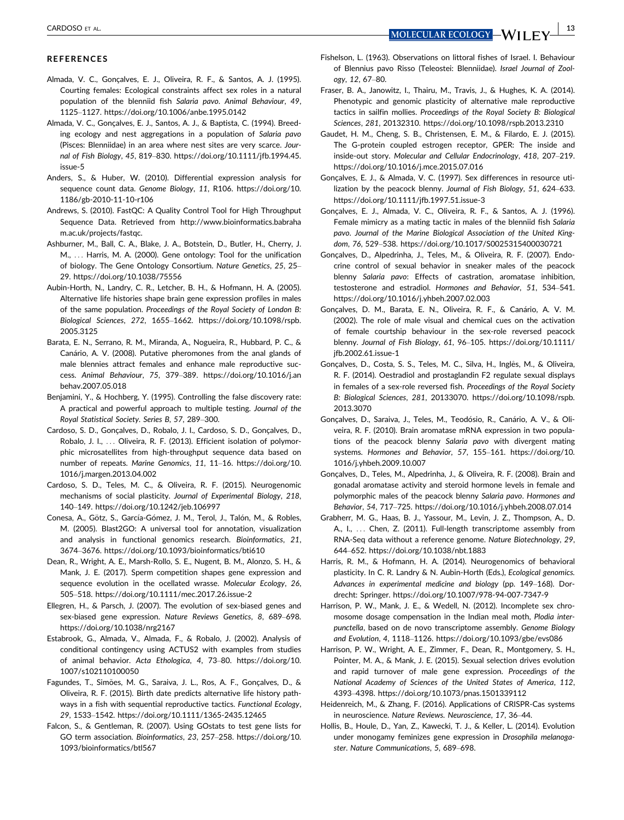#### REFERENCES

- Almada, V. C., Goncalves, E. J., Oliveira, R. F., & Santos, A. J. (1995). Courting females: Ecological constraints affect sex roles in a natural population of the blenniid fish Salaria pavo. Animal Behaviour, 49, 1125–1127.<https://doi.org/10.1006/anbe.1995.0142>
- Almada, V. C., Goncalves, E. J., Santos, A. J., & Baptista, C. (1994). Breeding ecology and nest aggregations in a population of Salaria pavo (Pisces: Blenniidae) in an area where nest sites are very scarce. Journal of Fish Biology, 45, 819–830. [https://doi.org/10.1111/jfb.1994.45.](https://doi.org/10.1111/jfb.1994.45.issue-5) [issue-5](https://doi.org/10.1111/jfb.1994.45.issue-5)
- Anders, S., & Huber, W. (2010). Differential expression analysis for sequence count data. Genome Biology, 11, R106. [https://doi.org/10.](https://doi.org/10.1186/gb-2010-11-10-r106) [1186/gb-2010-11-10-r106](https://doi.org/10.1186/gb-2010-11-10-r106)
- Andrews, S. (2010). FastQC: A Quality Control Tool for High Throughput Sequence Data. Retrieved from [http://www.bioinformatics.babraha](http://www.bioinformatics.babraham.ac.uk/projects/fastqc) [m.ac.uk/projects/fastqc](http://www.bioinformatics.babraham.ac.uk/projects/fastqc).
- Ashburner, M., Ball, C. A., Blake, J. A., Botstein, D., Butler, H., Cherry, J. M., ... Harris, M. A. (2000). Gene ontology: Tool for the unification of biology. The Gene Ontology Consortium. Nature Genetics, 25, 25– 29.<https://doi.org/10.1038/75556>
- Aubin-Horth, N., Landry, C. R., Letcher, B. H., & Hofmann, H. A. (2005). Alternative life histories shape brain gene expression profiles in males of the same population. Proceedings of the Royal Society of London B: Biological Sciences, 272, 1655–1662. [https://doi.org/10.1098/rspb.](https://doi.org/10.1098/rspb.2005.3125) [2005.3125](https://doi.org/10.1098/rspb.2005.3125)
- Barata, E. N., Serrano, R. M., Miranda, A., Nogueira, R., Hubbard, P. C., & Canário, A. V. (2008). Putative pheromones from the anal glands of male blennies attract females and enhance male reproductive success. Animal Behaviour, 75, 379–389. [https://doi.org/10.1016/j.an](https://doi.org/10.1016/j.anbehav.2007.05.018) [behav.2007.05.018](https://doi.org/10.1016/j.anbehav.2007.05.018)
- Benjamini, Y., & Hochberg, Y. (1995). Controlling the false discovery rate: A practical and powerful approach to multiple testing. Journal of the Royal Statistical Society. Series B, 57, 289–300.
- Cardoso, S. D., Gonçalves, D., Robalo, J. I., Cardoso, S. D., Gonçalves, D., Robalo, J. I., ... Oliveira, R. F. (2013). Efficient isolation of polymorphic microsatellites from high-throughput sequence data based on number of repeats. Marine Genomics, 11, 11–16. [https://doi.org/10.](https://doi.org/10.1016/j.margen.2013.04.002) [1016/j.margen.2013.04.002](https://doi.org/10.1016/j.margen.2013.04.002)
- Cardoso, S. D., Teles, M. C., & Oliveira, R. F. (2015). Neurogenomic mechanisms of social plasticity. Journal of Experimental Biology, 218, 140–149.<https://doi.org/10.1242/jeb.106997>
- Conesa, A., Götz, S., García-Gómez, J. M., Terol, J., Talón, M., & Robles, M. (2005). Blast2GO: A universal tool for annotation, visualization and analysis in functional genomics research. Bioinformatics, 21, 3674–3676.<https://doi.org/10.1093/bioinformatics/bti610>
- Dean, R., Wright, A. E., Marsh-Rollo, S. E., Nugent, B. M., Alonzo, S. H., & Mank, J. E. (2017). Sperm competition shapes gene expression and sequence evolution in the ocellated wrasse. Molecular Ecology, 26, 505–518.<https://doi.org/10.1111/mec.2017.26.issue-2>
- Ellegren, H., & Parsch, J. (2007). The evolution of sex-biased genes and sex-biased gene expression. Nature Reviews Genetics, 8, 689–698. <https://doi.org/10.1038/nrg2167>
- Estabrook, G., Almada, V., Almada, F., & Robalo, J. (2002). Analysis of conditional contingency using ACTUS2 with examples from studies of animal behavior. Acta Ethologica, 4, 73–80. [https://doi.org/10.](https://doi.org/10.1007/s102110100050) [1007/s102110100050](https://doi.org/10.1007/s102110100050)
- Fagundes, T., Simões, M. G., Saraiva, J. L., Ros, A. F., Gonçalves, D., & Oliveira, R. F. (2015). Birth date predicts alternative life history pathways in a fish with sequential reproductive tactics. Functional Ecology, 29, 1533–1542.<https://doi.org/10.1111/1365-2435.12465>
- Falcon, S., & Gentleman, R. (2007). Using GOstats to test gene lists for GO term association. Bioinformatics, 23, 257–258. [https://doi.org/10.](https://doi.org/10.1093/bioinformatics/btl567) [1093/bioinformatics/btl567](https://doi.org/10.1093/bioinformatics/btl567)
- Fishelson, L. (1963). Observations on littoral fishes of Israel. I. Behaviour of Blennius pavo Risso (Teleostei: Blenniidae). Israel Journal of Zoology, 12, 67–80.
- Fraser, B. A., Janowitz, I., Thairu, M., Travis, J., & Hughes, K. A. (2014). Phenotypic and genomic plasticity of alternative male reproductive tactics in sailfin mollies. Proceedings of the Royal Society B: Biological Sciences, 281, 20132310.<https://doi.org/10.1098/rspb.2013.2310>
- Gaudet, H. M., Cheng, S. B., Christensen, E. M., & Filardo, E. J. (2015). The G-protein coupled estrogen receptor, GPER: The inside and inside-out story. Molecular and Cellular Endocrinology, 418, 207–219. <https://doi.org/10.1016/j.mce.2015.07.016>
- Goncalves, E. J., & Almada, V. C. (1997). Sex differences in resource utilization by the peacock blenny. Journal of Fish Biology, 51, 624–633. <https://doi.org/10.1111/jfb.1997.51.issue-3>
- Goncalves, E. J., Almada, V. C., Oliveira, R. F., & Santos, A. J. (1996). Female mimicry as a mating tactic in males of the blenniid fish Salaria pavo. Journal of the Marine Biological Association of the United Kingdom, 76, 529–538.<https://doi.org/10.1017/S0025315400030721>
- Goncalves, D., Alpedrinha, J., Teles, M., & Oliveira, R. F. (2007). Endocrine control of sexual behavior in sneaker males of the peacock blenny Salaria pavo: Effects of castration, aromatase inhibition, testosterone and estradiol. Hormones and Behavior, 51, 534–541. <https://doi.org/10.1016/j.yhbeh.2007.02.003>
- Gonçalves, D. M., Barata, E. N., Oliveira, R. F., & Canário, A. V. M. (2002). The role of male visual and chemical cues on the activation of female courtship behaviour in the sex-role reversed peacock blenny. Journal of Fish Biology, 61, 96–105. [https://doi.org/10.1111/](https://doi.org/10.1111/jfb.2002.61.issue-1) [jfb.2002.61.issue-1](https://doi.org/10.1111/jfb.2002.61.issue-1)
- Gonçalves, D., Costa, S. S., Teles, M. C., Silva, H., Inglês, M., & Oliveira, R. F. (2014). Oestradiol and prostaglandin F2 regulate sexual displays in females of a sex-role reversed fish. Proceedings of the Royal Society B: Biological Sciences, 281, 20133070. [https://doi.org/10.1098/rspb.](https://doi.org/10.1098/rspb.2013.3070) [2013.3070](https://doi.org/10.1098/rspb.2013.3070)
- Gonçalves, D., Saraiva, J., Teles, M., Teodósio, R., Canário, A. V., & Oliveira, R. F. (2010). Brain aromatase mRNA expression in two populations of the peacock blenny Salaria pavo with divergent mating systems. Hormones and Behavior, 57, 155–161. [https://doi.org/10.](https://doi.org/10.1016/j.yhbeh.2009.10.007) [1016/j.yhbeh.2009.10.007](https://doi.org/10.1016/j.yhbeh.2009.10.007)
- Goncalves, D., Teles, M., Alpedrinha, J., & Oliveira, R. F. (2008). Brain and gonadal aromatase activity and steroid hormone levels in female and polymorphic males of the peacock blenny Salaria pavo. Hormones and Behavior, 54, 717–725.<https://doi.org/10.1016/j.yhbeh.2008.07.014>
- Grabherr, M. G., Haas, B. J., Yassour, M., Levin, J. Z., Thompson, A., D. A., I., ... Chen, Z. (2011). Full-length transcriptome assembly from RNA-Seq data without a reference genome. Nature Biotechnology, 29, 644–652.<https://doi.org/10.1038/nbt.1883>
- Harris, R. M., & Hofmann, H. A. (2014). Neurogenomics of behavioral plasticity. In C. R. Landry & N. Aubin-Horth (Eds.), Ecological genomics. Advances in experimental medicine and biology (pp. 149–168). Dordrecht: Springer.<https://doi.org/10.1007/978-94-007-7347-9>
- Harrison, P. W., Mank, J. E., & Wedell, N. (2012). Incomplete sex chromosome dosage compensation in the Indian meal moth, Plodia interpunctella, based on de novo transcriptome assembly. Genome Biology and Evolution, 4, 1118–1126.<https://doi.org/10.1093/gbe/evs086>
- Harrison, P. W., Wright, A. E., Zimmer, F., Dean, R., Montgomery, S. H., Pointer, M. A., & Mank, J. E. (2015). Sexual selection drives evolution and rapid turnover of male gene expression. Proceedings of the National Academy of Sciences of the United States of America, 112, 4393–4398.<https://doi.org/10.1073/pnas.1501339112>
- Heidenreich, M., & Zhang, F. (2016). Applications of CRISPR-Cas systems in neuroscience. Nature Reviews. Neuroscience, 17, 36–44.
- Hollis, B., Houle, D., Yan, Z., Kawecki, T. J., & Keller, L. (2014). Evolution under monogamy feminizes gene expression in Drosophila melanogaster. Nature Communications, 5, 689–698.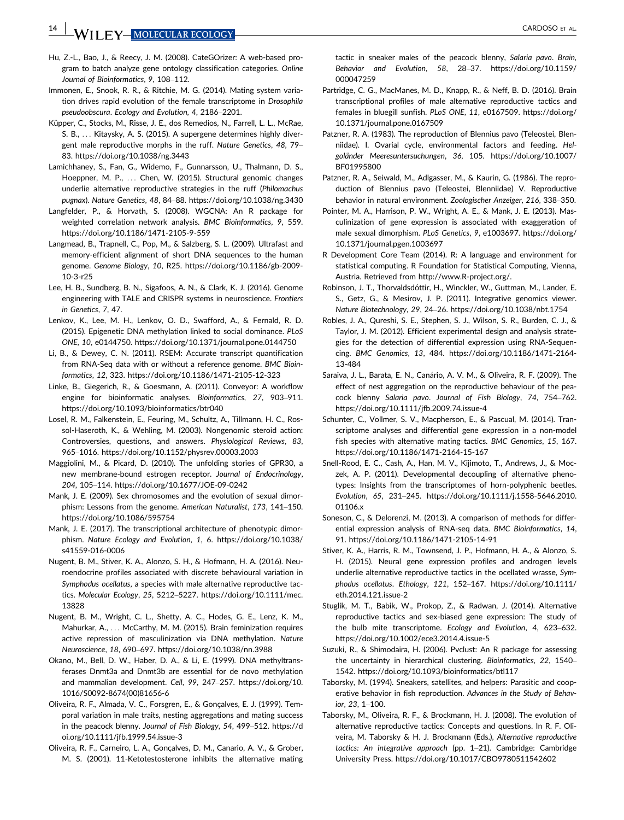14 | CARDOSO ET AL.

- Hu, Z.-L., Bao, J., & Reecy, J. M. (2008). CateGOrizer: A web-based program to batch analyze gene ontology classification categories. Online Journal of Bioinformatics, 9, 108–112.
- Immonen, E., Snook, R. R., & Ritchie, M. G. (2014). Mating system variation drives rapid evolution of the female transcriptome in Drosophila pseudoobscura. Ecology and Evolution, 4, 2186–2201.
- Küpper, C., Stocks, M., Risse, J. E., dos Remedios, N., Farrell, L. L., McRae, S. B., ... Kitaysky, A. S. (2015). A supergene determines highly divergent male reproductive morphs in the ruff. Nature Genetics, 48, 79– 83.<https://doi.org/10.1038/ng.3443>
- Lamichhaney, S., Fan, G., Widemo, F., Gunnarsson, U., Thalmann, D. S., Hoeppner, M. P., ... Chen, W. (2015). Structural genomic changes underlie alternative reproductive strategies in the ruff (Philomachus pugnax). Nature Genetics, 48, 84–88.<https://doi.org/10.1038/ng.3430>
- Langfelder, P., & Horvath, S. (2008). WGCNA: An R package for weighted correlation network analysis. BMC Bioinformatics, 9, 559. <https://doi.org/10.1186/1471-2105-9-559>
- Langmead, B., Trapnell, C., Pop, M., & Salzberg, S. L. (2009). Ultrafast and memory-efficient alignment of short DNA sequences to the human genome. Genome Biology, 10, R25. [https://doi.org/10.1186/gb-2009-](https://doi.org/10.1186/gb-2009-10-3-r25) [10-3-r25](https://doi.org/10.1186/gb-2009-10-3-r25)
- Lee, H. B., Sundberg, B. N., Sigafoos, A. N., & Clark, K. J. (2016). Genome engineering with TALE and CRISPR systems in neuroscience. Frontiers in Genetics, 7, 47.
- Lenkov, K., Lee, M. H., Lenkov, O. D., Swafford, A., & Fernald, R. D. (2015). Epigenetic DNA methylation linked to social dominance. PLoS ONE, 10, e0144750.<https://doi.org/10.1371/journal.pone.0144750>
- Li, B., & Dewey, C. N. (2011). RSEM: Accurate transcript quantification from RNA-Seq data with or without a reference genome. BMC Bioinformatics, 12, 323.<https://doi.org/10.1186/1471-2105-12-323>
- Linke, B., Giegerich, R., & Goesmann, A. (2011). Conveyor: A workflow engine for bioinformatic analyses. Bioinformatics, 27, 903–911. <https://doi.org/10.1093/bioinformatics/btr040>
- Losel, R. M., Falkenstein, E., Feuring, M., Schultz, A., Tillmann, H. C., Rossol-Haseroth, K., & Wehling, M. (2003). Nongenomic steroid action: Controversies, questions, and answers. Physiological Reviews, 83, 965–1016.<https://doi.org/10.1152/physrev.00003.2003>
- Maggiolini, M., & Picard, D. (2010). The unfolding stories of GPR30, a new membrane-bound estrogen receptor. Journal of Endocrinology, 204, 105–114.<https://doi.org/10.1677/JOE-09-0242>
- Mank, J. E. (2009). Sex chromosomes and the evolution of sexual dimorphism: Lessons from the genome. American Naturalist, 173, 141–150. <https://doi.org/10.1086/595754>
- Mank, J. E. (2017). The transcriptional architecture of phenotypic dimorphism. Nature Ecology and Evolution, 1, 6. [https://doi.org/10.1038/](https://doi.org/10.1038/s41559-016-0006) [s41559-016-0006](https://doi.org/10.1038/s41559-016-0006)
- Nugent, B. M., Stiver, K. A., Alonzo, S. H., & Hofmann, H. A. (2016). Neuroendocrine profiles associated with discrete behavioural variation in Symphodus ocellatus, a species with male alternative reproductive tactics. Molecular Ecology, 25, 5212–5227. [https://doi.org/10.1111/mec.](https://doi.org/10.1111/mec.13828) [13828](https://doi.org/10.1111/mec.13828)
- Nugent, B. M., Wright, C. L., Shetty, A. C., Hodes, G. E., Lenz, K. M., Mahurkar, A., ... McCarthy, M. M. (2015). Brain feminization requires active repression of masculinization via DNA methylation. Nature Neuroscience, 18, 690–697.<https://doi.org/10.1038/nn.3988>
- Okano, M., Bell, D. W., Haber, D. A., & Li, E. (1999). DNA methyltransferases Dnmt3a and Dnmt3b are essential for de novo methylation and mammalian development. Cell, 99, 247–257. [https://doi.org/10.](https://doi.org/10.1016/S0092-8674(00)81656-6) [1016/S0092-8674\(00\)81656-6](https://doi.org/10.1016/S0092-8674(00)81656-6)
- Oliveira, R. F., Almada, V. C., Forsgren, E., & Gonçalves, E. J. (1999). Temporal variation in male traits, nesting aggregations and mating success in the peacock blenny. Journal of Fish Biology, 54, 499–512. [https://d](https://doi.org/10.1111/jfb.1999.54.issue-3) [oi.org/10.1111/jfb.1999.54.issue-3](https://doi.org/10.1111/jfb.1999.54.issue-3)
- Oliveira, R. F., Carneiro, L. A., Goncalves, D. M., Canario, A. V., & Grober, M. S. (2001). 11-Ketotestosterone inhibits the alternative mating

tactic in sneaker males of the peacock blenny, Salaria pavo. Brain, Behavior and Evolution, 58, 28–37. [https://doi.org/10.1159/](https://doi.org/10.1159/000047259) [000047259](https://doi.org/10.1159/000047259)

- Partridge, C. G., MacManes, M. D., Knapp, R., & Neff, B. D. (2016). Brain transcriptional profiles of male alternative reproductive tactics and females in bluegill sunfish. PLoS ONE, 11, e0167509. [https://doi.org/](https://doi.org/10.1371/journal.pone.0167509) [10.1371/journal.pone.0167509](https://doi.org/10.1371/journal.pone.0167509)
- Patzner, R. A. (1983). The reproduction of Blennius pavo (Teleostei, Blenniidae). I. Ovarial cycle, environmental factors and feeding. Helgoländer Meeresuntersuchungen, 36, 105. [https://doi.org/10.1007/](https://doi.org/10.1007/BF01995800) [BF01995800](https://doi.org/10.1007/BF01995800)
- Patzner, R. A., Seiwald, M., Adlgasser, M., & Kaurin, G. (1986). The reproduction of Blennius pavo (Teleostei, Blenniidae) V. Reproductive behavior in natural environment. Zoologischer Anzeiger, 216, 338–350.
- Pointer, M. A., Harrison, P. W., Wright, A. E., & Mank, J. E. (2013). Masculinization of gene expression is associated with exaggeration of male sexual dimorphism. PLoS Genetics, 9, e1003697. [https://doi.org/](https://doi.org/10.1371/journal.pgen.1003697) [10.1371/journal.pgen.1003697](https://doi.org/10.1371/journal.pgen.1003697)
- R Development Core Team (2014). R: A language and environment for statistical computing. R Foundation for Statistical Computing, Vienna, Austria. Retrieved from [http://www.R-project.org/.](http://www.R-project.org/)
- Robinson, J. T., Thorvaldsdóttir, H., Winckler, W., Guttman, M., Lander, E. S., Getz, G., & Mesirov, J. P. (2011). Integrative genomics viewer. Nature Biotechnology, 29, 24–26.<https://doi.org/10.1038/nbt.1754>
- Robles, J. A., Qureshi, S. E., Stephen, S. J., Wilson, S. R., Burden, C. J., & Taylor, J. M. (2012). Efficient experimental design and analysis strategies for the detection of differential expression using RNA-Sequencing. BMC Genomics, 13, 484. [https://doi.org/10.1186/1471-2164-](https://doi.org/10.1186/1471-2164-13-484) [13-484](https://doi.org/10.1186/1471-2164-13-484)
- Saraiva, J. L., Barata, E. N., Canário, A. V. M., & Oliveira, R. F. (2009). The effect of nest aggregation on the reproductive behaviour of the peacock blenny Salaria pavo. Journal of Fish Biology, 74, 754–762. <https://doi.org/10.1111/jfb.2009.74.issue-4>
- Schunter, C., Vollmer, S. V., Macpherson, E., & Pascual, M. (2014). Transcriptome analyses and differential gene expression in a non-model fish species with alternative mating tactics. BMC Genomics, 15, 167. <https://doi.org/10.1186/1471-2164-15-167>
- Snell-Rood, E. C., Cash, A., Han, M. V., Kijimoto, T., Andrews, J., & Moczek, A. P. (2011). Developmental decoupling of alternative phenotypes: Insights from the transcriptomes of horn-polyphenic beetles. Evolution, 65, 231–245. [https://doi.org/10.1111/j.1558-5646.2010.](https://doi.org/10.1111/j.1558-5646.2010.01106.x) [01106.x](https://doi.org/10.1111/j.1558-5646.2010.01106.x)
- Soneson, C., & Delorenzi, M. (2013). A comparison of methods for differential expression analysis of RNA-seq data. BMC Bioinformatics, 14, 91.<https://doi.org/10.1186/1471-2105-14-91>
- Stiver, K. A., Harris, R. M., Townsend, J. P., Hofmann, H. A., & Alonzo, S. H. (2015). Neural gene expression profiles and androgen levels underlie alternative reproductive tactics in the ocellated wrasse, Symphodus ocellatus. Ethology, 121, 152–167. [https://doi.org/10.1111/](https://doi.org/10.1111/eth.2014.121.issue-2) [eth.2014.121.issue-2](https://doi.org/10.1111/eth.2014.121.issue-2)
- Stuglik, M. T., Babik, W., Prokop, Z., & Radwan, J. (2014). Alternative reproductive tactics and sex-biased gene expression: The study of the bulb mite transcriptome. Ecology and Evolution, 4, 623–632. <https://doi.org/10.1002/ece3.2014.4.issue-5>
- Suzuki, R., & Shimodaira, H. (2006). Pvclust: An R package for assessing the uncertainty in hierarchical clustering. Bioinformatics, 22, 1540– 1542.<https://doi.org/10.1093/bioinformatics/btl117>
- Taborsky, M. (1994). Sneakers, satellites, and helpers: Parasitic and cooperative behavior in fish reproduction. Advances in the Study of Behavior, 23, 1–100.
- Taborsky, M., Oliveira, R. F., & Brockmann, H. J. (2008). The evolution of alternative reproductive tactics: Concepts and questions. In R. F. Oliveira, M. Taborsky & H. J. Brockmann (Eds.), Alternative reproductive tactics: An integrative approach (pp. 1–21). Cambridge: Cambridge University Press.<https://doi.org/10.1017/CBO9780511542602>